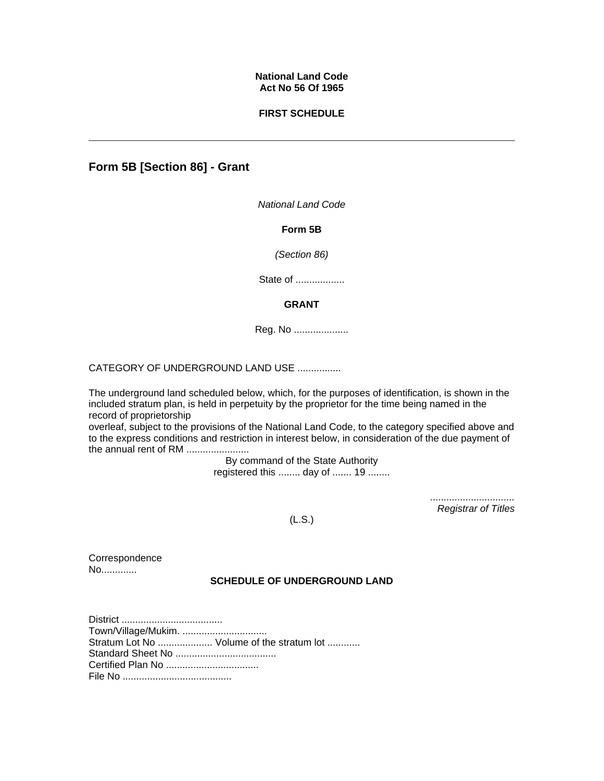### **National Land Code Act No 56 Of 1965**

### **FIRST SCHEDULE**

# **Form 5B [Section 86] - Grant**

*National Land Code* 

**Form 5B**

*(Section 86)*

State of ...................

### **GRANT**

Reg. No ....................

CATEGORY OF UNDERGROUND LAND USE ................

The underground land scheduled below, which, for the purposes of identification, is shown in the included stratum plan, is held in perpetuity by the proprietor for the time being named in the record of proprietorship

overleaf, subject to the provisions of the National Land Code, to the category specified above and to the express conditions and restriction in interest below, in consideration of the due payment of the annual rent of RM .......................

> By command of the State Authority registered this ........ day of ....... 19 ........

> > *............................... Registrar of Titles*

(L.S.)

**Correspondence** No.............

## **SCHEDULE OF UNDERGROUND LAND**

District ..................................... Town/Village/Mukim. ............................... Stratum Lot No ..................... Volume of the stratum lot ............ Standard Sheet No ..................................... Certified Plan No .................................. File No ........................................